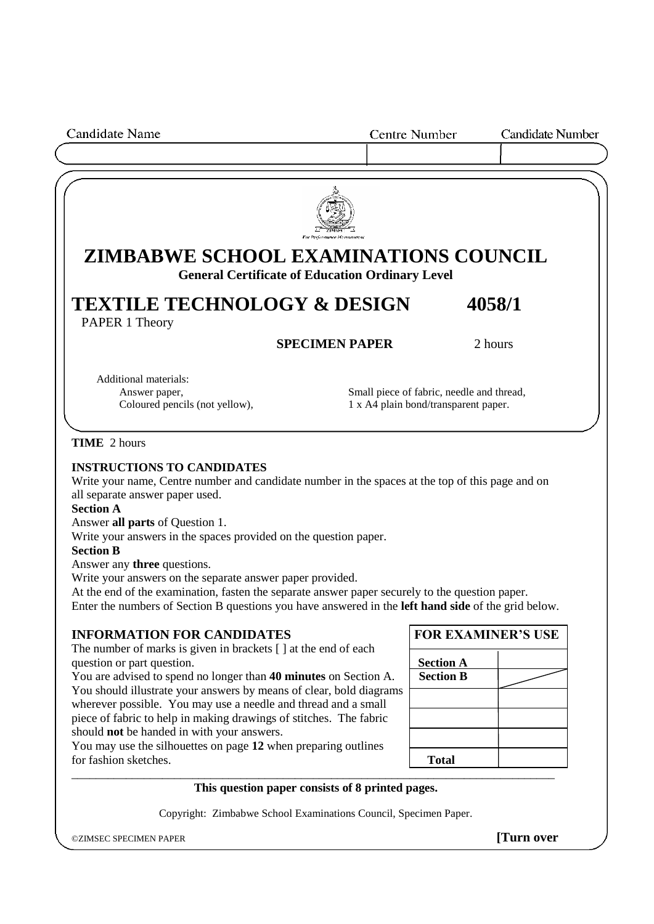| Candidate Name                                                                                                                                                                                                                                                                                                                                                                                                                                           |                                                                  | <b>Centre Number</b>                                                              | Candidate Number |  |
|----------------------------------------------------------------------------------------------------------------------------------------------------------------------------------------------------------------------------------------------------------------------------------------------------------------------------------------------------------------------------------------------------------------------------------------------------------|------------------------------------------------------------------|-----------------------------------------------------------------------------------|------------------|--|
|                                                                                                                                                                                                                                                                                                                                                                                                                                                          |                                                                  |                                                                                   |                  |  |
|                                                                                                                                                                                                                                                                                                                                                                                                                                                          |                                                                  |                                                                                   |                  |  |
| ZIMBABWE SCHOOL EXAMINATIONS COUNCIL                                                                                                                                                                                                                                                                                                                                                                                                                     | <b>General Certificate of Education Ordinary Level</b>           |                                                                                   |                  |  |
| <b>TEXTILE TECHNOLOGY &amp; DESIGN</b><br>PAPER 1 Theory                                                                                                                                                                                                                                                                                                                                                                                                 |                                                                  |                                                                                   | 4058/1           |  |
|                                                                                                                                                                                                                                                                                                                                                                                                                                                          | <b>SPECIMEN PAPER</b>                                            |                                                                                   | 2 hours          |  |
| Additional materials:<br>Answer paper,<br>Coloured pencils (not yellow),                                                                                                                                                                                                                                                                                                                                                                                 |                                                                  | Small piece of fabric, needle and thread,<br>1 x A4 plain bond/transparent paper. |                  |  |
| <b>TIME</b> 2 hours                                                                                                                                                                                                                                                                                                                                                                                                                                      |                                                                  |                                                                                   |                  |  |
| <b>Section A</b><br>Answer all parts of Question 1.<br>Write your answers in the spaces provided on the question paper.<br><b>Section B</b><br>Answer any three questions.<br>Write your answers on the separate answer paper provided.<br>At the end of the examination, fasten the separate answer paper securely to the question paper.<br>Enter the numbers of Section B questions you have answered in the <b>left hand side</b> of the grid below. |                                                                  |                                                                                   |                  |  |
| <b>INFORMATION FOR CANDIDATES</b>                                                                                                                                                                                                                                                                                                                                                                                                                        |                                                                  | <b>FOR EXAMINER'S USE</b>                                                         |                  |  |
| The number of marks is given in brackets [] at the end of each<br>question or part question.                                                                                                                                                                                                                                                                                                                                                             |                                                                  | <b>Section A</b>                                                                  |                  |  |
| You are advised to spend no longer than 40 minutes on Section A.<br>You should illustrate your answers by means of clear, bold diagrams                                                                                                                                                                                                                                                                                                                  |                                                                  | <b>Section B</b>                                                                  |                  |  |
| wherever possible. You may use a needle and thread and a small                                                                                                                                                                                                                                                                                                                                                                                           |                                                                  |                                                                                   |                  |  |
| piece of fabric to help in making drawings of stitches. The fabric<br>should not be handed in with your answers.                                                                                                                                                                                                                                                                                                                                         |                                                                  |                                                                                   |                  |  |
| You may use the silhouettes on page 12 when preparing outlines                                                                                                                                                                                                                                                                                                                                                                                           |                                                                  |                                                                                   |                  |  |
| for fashion sketches.                                                                                                                                                                                                                                                                                                                                                                                                                                    |                                                                  | <b>Total</b>                                                                      |                  |  |
|                                                                                                                                                                                                                                                                                                                                                                                                                                                          | This question paper consists of 8 printed pages.                 |                                                                                   |                  |  |
|                                                                                                                                                                                                                                                                                                                                                                                                                                                          | Copyright: Zimbabwe School Examinations Council, Specimen Paper. |                                                                                   |                  |  |
| ©ZIMSEC SPECIMEN PAPER                                                                                                                                                                                                                                                                                                                                                                                                                                   |                                                                  |                                                                                   | [Turn over       |  |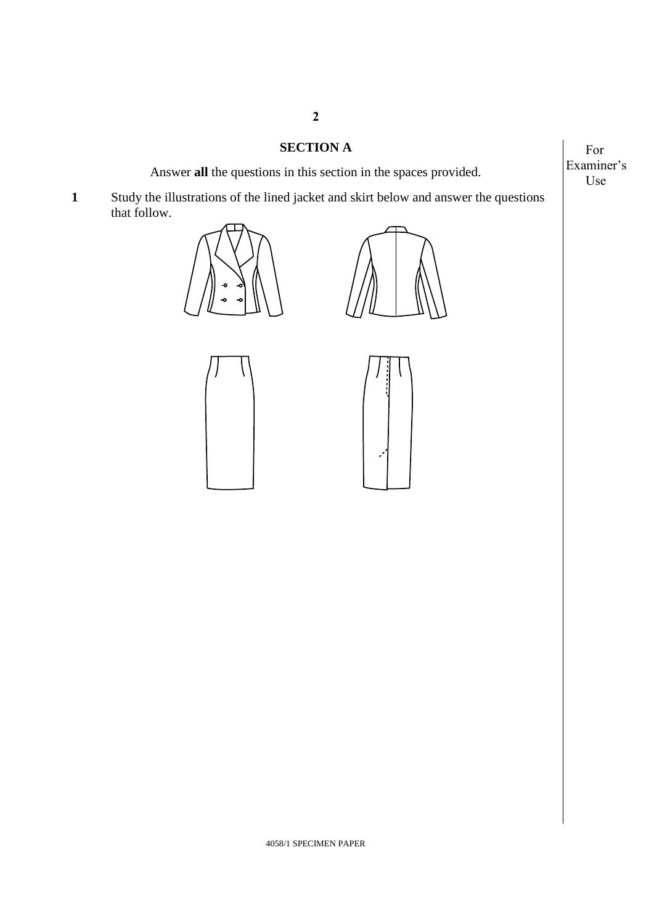# **SECTION A**

Answer **all** the questions in this section in the spaces provided.

**1** Study the illustrations of the lined jacket and skirt below and answer the questions that follow.







 For Examiner's Use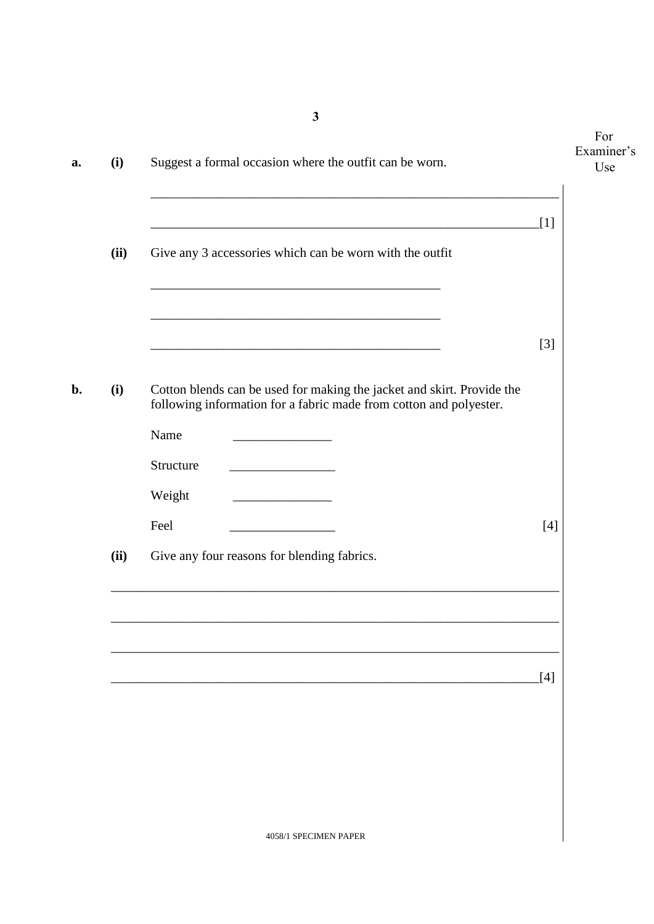| a. | (i)  | Suggest a formal occasion where the outfit can be worn.                                                   |       | For<br>Examiner's<br>Use |
|----|------|-----------------------------------------------------------------------------------------------------------|-------|--------------------------|
|    | (ii) | Give any 3 accessories which can be worn with the outfit                                                  | [1]   |                          |
| b. | (i)  | Cotton blends can be used for making the jacket and skirt. Provide the                                    | $[3]$ |                          |
|    |      | following information for a fabric made from cotton and polyester.<br>Name<br>Structure<br>Weight<br>Feel | $[4]$ |                          |
|    | (ii) | Give any four reasons for blending fabrics.                                                               |       |                          |
|    |      |                                                                                                           | $[4]$ |                          |
|    |      |                                                                                                           |       |                          |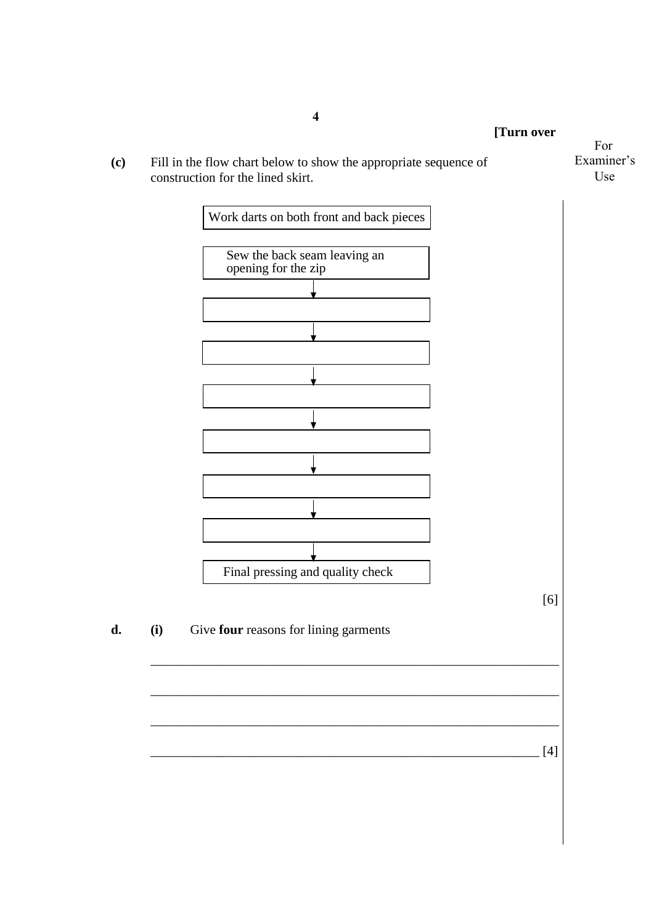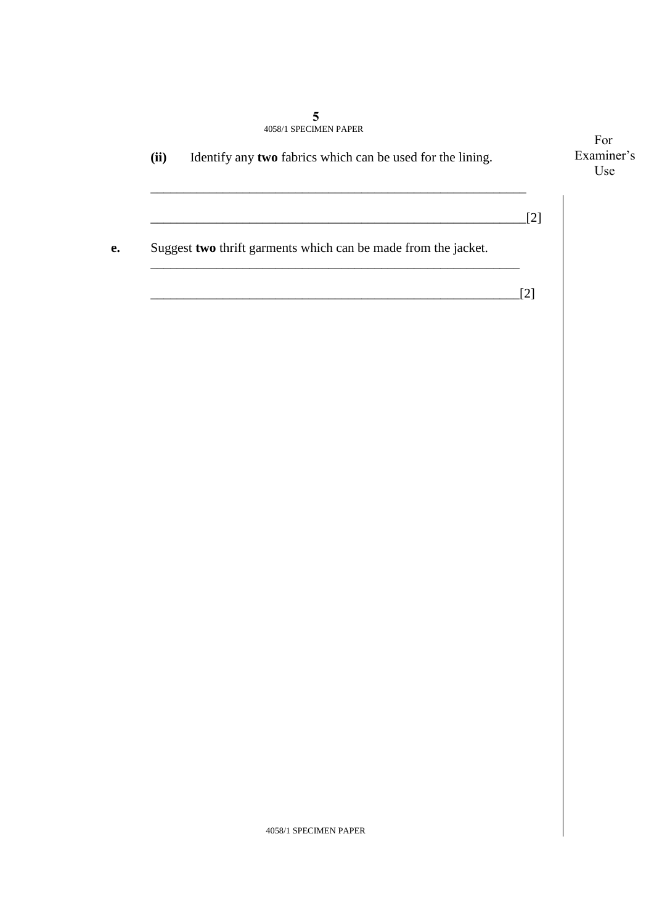**5** 4058/1 SPECIMEN PAPER

| (ii) | Identify any two fabrics which can be used for the lining.     |                   |
|------|----------------------------------------------------------------|-------------------|
|      |                                                                | $\lceil 2 \rceil$ |
|      | Suggest two thrift garments which can be made from the jacket. |                   |
|      |                                                                |                   |

4058/1 SPECIMEN PAPER

 For xaminer's Use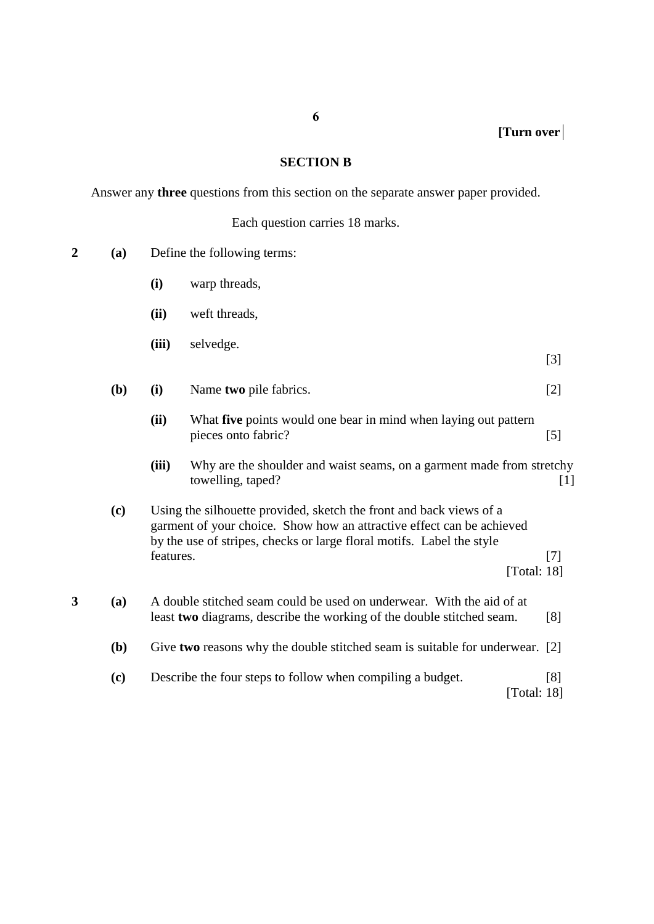#### **SECTION B**

Answer any **three** questions from this section on the separate answer paper provided.

Each question carries 18 marks.

- **2 (a)** Define the following terms:
	- **(i)** warp threads,
	- **(ii)** weft threads,
	- **(iii)** selvedge.
	- [3]

**(b) (i)** Name **two** pile fabrics. [2]

- **(ii)** What **five** points would one bear in mind when laying out pattern pieces onto fabric? [5]
	- **(iii)** Why are the shoulder and waist seams, on a garment made from stretchy towelling, taped? [1]
- **(c)** Using the silhouette provided, sketch the front and back views of a garment of your choice. Show how an attractive effect can be achieved by the use of stripes, checks or large floral motifs. Label the style features. [7] [Total: 18]
- **3 (a)** A double stitched seam could be used on underwear. With the aid of at least **two** diagrams, describe the working of the double stitched seam. [8] **(b)** Give **two** reasons why the double stitched seam is suitable for underwear. [2] **(c)** Describe the four steps to follow when compiling a budget. [8]
	- [Total: 18]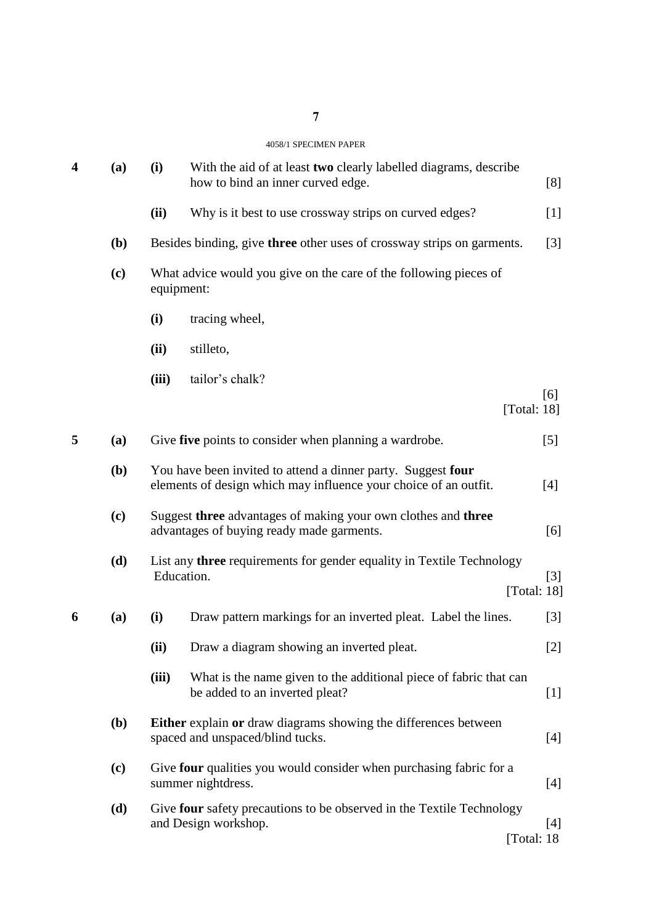## **7**

#### 4058/1 SPECIMEN PAPER

| $\overline{\mathbf{4}}$ | (a)          | (i)<br>With the aid of at least two clearly labelled diagrams, describe<br>how to bind an inner curved edge. |                                                                                                                                  |                         |  |
|-------------------------|--------------|--------------------------------------------------------------------------------------------------------------|----------------------------------------------------------------------------------------------------------------------------------|-------------------------|--|
|                         |              | (ii)                                                                                                         | Why is it best to use crossway strips on curved edges?                                                                           | $[1]$                   |  |
|                         | ( <b>b</b> ) | Besides binding, give three other uses of crossway strips on garments.                                       |                                                                                                                                  |                         |  |
|                         | (c)          |                                                                                                              | What advice would you give on the care of the following pieces of<br>equipment:                                                  |                         |  |
|                         |              | (i)                                                                                                          | tracing wheel,                                                                                                                   |                         |  |
|                         |              | (ii)                                                                                                         | stilleto,                                                                                                                        |                         |  |
|                         |              | (iii)                                                                                                        | tailor's chalk?<br>[Total: $18$ ]                                                                                                | [6]                     |  |
| 5                       | (a)          |                                                                                                              | Give five points to consider when planning a wardrobe.                                                                           | $[5]$                   |  |
|                         | (b)          |                                                                                                              | You have been invited to attend a dinner party. Suggest four<br>elements of design which may influence your choice of an outfit. | $[4]$                   |  |
|                         | (c)          | Suggest three advantages of making your own clothes and three<br>advantages of buying ready made garments.   |                                                                                                                                  |                         |  |
|                         | (d)          | List any three requirements for gender equality in Textile Technology<br>Education.                          |                                                                                                                                  | $[3]$<br>[Total: $18$ ] |  |
| 6                       | (a)          | (i)                                                                                                          | Draw pattern markings for an inverted pleat. Label the lines.                                                                    | $[3]$                   |  |
|                         |              | (ii)                                                                                                         | Draw a diagram showing an inverted pleat.                                                                                        | $[2]$                   |  |
|                         |              | (iii)                                                                                                        | What is the name given to the additional piece of fabric that can<br>be added to an inverted pleat?                              | $[1]$                   |  |
|                         | ( <b>b</b> ) |                                                                                                              | <b>Either</b> explain or draw diagrams showing the differences between<br>spaced and unspaced/blind tucks.                       | $[4]$                   |  |
|                         | (c)          |                                                                                                              | Give four qualities you would consider when purchasing fabric for a<br>summer nightdress.                                        | $[4]$                   |  |
|                         | (d)          |                                                                                                              | Give four safety precautions to be observed in the Textile Technology<br>and Design workshop.<br>[Total: $18$ ]                  | $[4]$                   |  |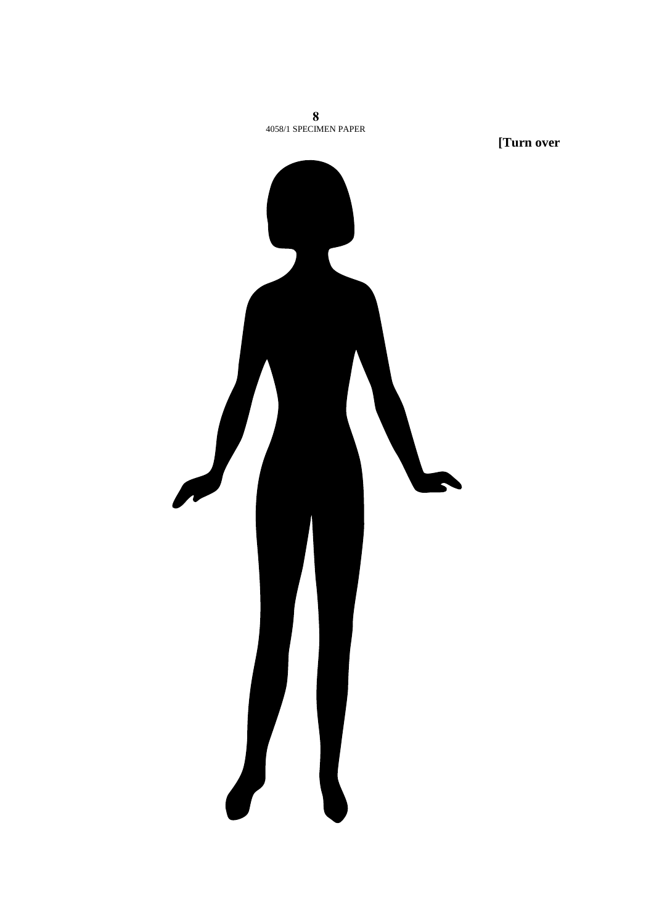

**[Turn over**